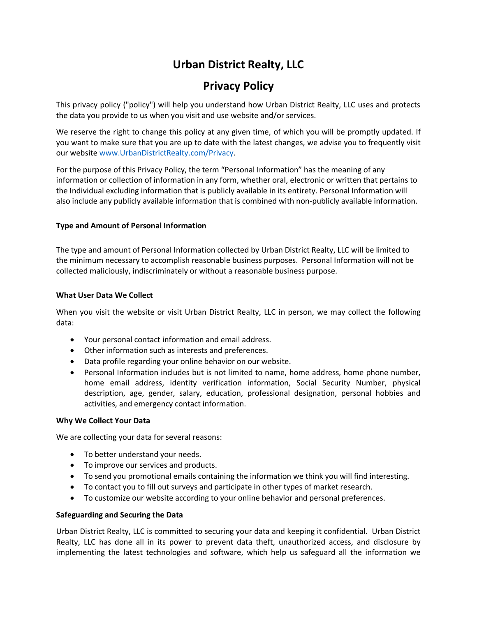# **Urban District Realty, LLC**

## **Privacy Policy**

This privacy policy ("policy") will help you understand how Urban District Realty, LLC uses and protects the data you provide to us when you visit and use website and/or services.

We reserve the right to change this policy at any given time, of which you will be promptly updated. If you want to make sure that you are up to date with the latest changes, we advise you to frequently visit our website www.UrbanDistrictRealty.com/Privacy.

For the purpose of this Privacy Policy, the term "Personal Information" has the meaning of any information or collection of information in any form, whether oral, electronic or written that pertains to the Individual excluding information that is publicly available in its entirety. Personal Information will also include any publicly available information that is combined with non-publicly available information.

## **Type and Amount of Personal Information**

The type and amount of Personal Information collected by Urban District Realty, LLC will be limited to the minimum necessary to accomplish reasonable business purposes. Personal Information will not be collected maliciously, indiscriminately or without a reasonable business purpose.

## **What User Data We Collect**

When you visit the website or visit Urban District Realty, LLC in person, we may collect the following data:

- Your personal contact information and email address.
- Other information such as interests and preferences.
- Data profile regarding your online behavior on our website.
- Personal Information includes but is not limited to name, home address, home phone number, home email address, identity verification information, Social Security Number, physical description, age, gender, salary, education, professional designation, personal hobbies and activities, and emergency contact information.

## **Why We Collect Your Data**

We are collecting your data for several reasons:

- To better understand your needs.
- To improve our services and products.
- To send you promotional emails containing the information we think you will find interesting.
- To contact you to fill out surveys and participate in other types of market research.
- To customize our website according to your online behavior and personal preferences.

## **Safeguarding and Securing the Data**

Urban District Realty, LLC is committed to securing your data and keeping it confidential. Urban District Realty, LLC has done all in its power to prevent data theft, unauthorized access, and disclosure by implementing the latest technologies and software, which help us safeguard all the information we